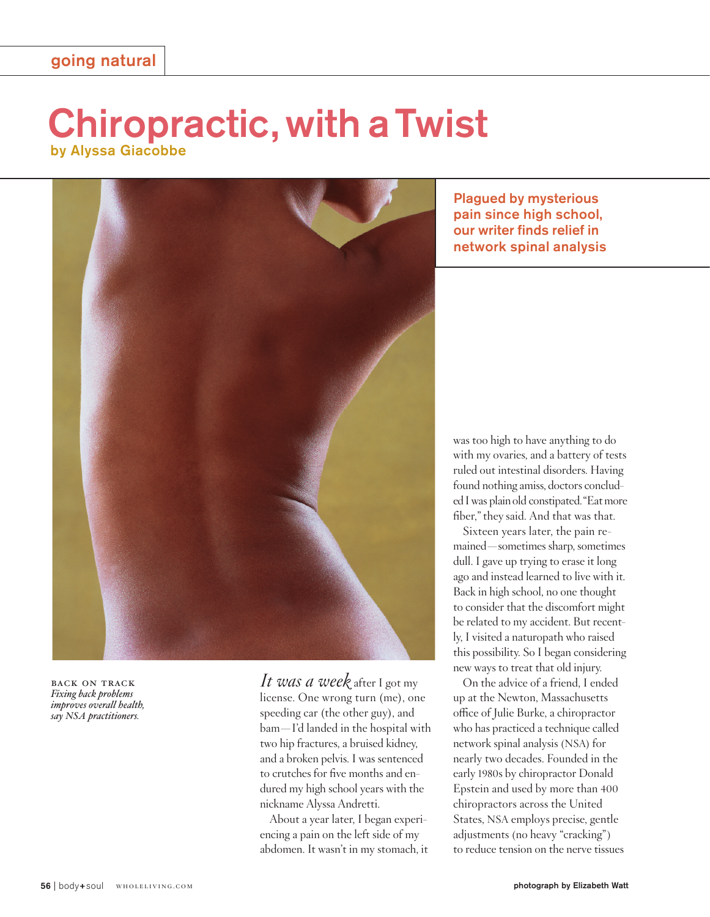## Chiropractic, with a Twist by Alyssa Giacobbe



back on track *Fixing back problems improves overall health, say NSA practitioners.* 

*It was a week* after I got my license. One wrong turn (me), one speeding car (the other guy), and bam—I'd landed in the hospital with two hip fractures, a bruised kidney, and a broken pelvis. I was sentenced to crutches for five months and endured my high school years with the nickname Alyssa Andretti.

About a year later, I began experiencing a pain on the left side of my abdomen. It wasn't in my stomach, it

Plagued by mysterious pain since high school, our writer finds relief in network spinal analysis

was too high to have anything to do with my ovaries, and a battery of tests ruled out intestinal disorders. Having found nothing amiss, doctors concluded I was plain old constipated. "Eat more fiber," they said. And that was that.

Sixteen years later, the pain remained—sometimes sharp, sometimes dull. I gave up trying to erase it long ago and instead learned to live with it. Back in high school, no one thought to consider that the discomfort might be related to my accident. But recently, I visited a naturopath who raised this possibility. So I began considering new ways to treat that old injury.

On the advice of a friend, I ended up at the Newton, Massachusetts office of Julie Burke, a chiropractor who has practiced a technique called network spinal analysis (NSA) for nearly two decades. Founded in the early 1980s by chiropractor Donald Epstein and used by more than 400 chiropractors across the United States, NSA employs precise, gentle adjustments (no heavy "cracking") to reduce tension on the nerve tissues